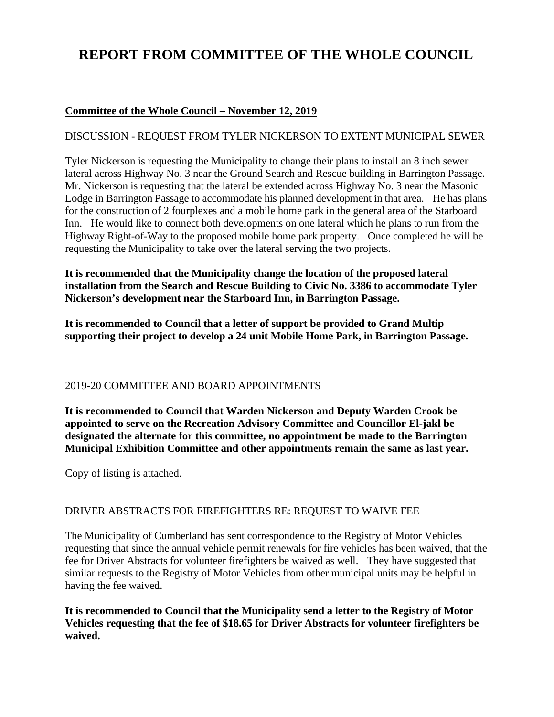# **REPORT FROM COMMITTEE OF THE WHOLE COUNCIL**

## **Committee of the Whole Council – November 12, 2019**

## DISCUSSION - REQUEST FROM TYLER NICKERSON TO EXTENT MUNICIPAL SEWER

Tyler Nickerson is requesting the Municipality to change their plans to install an 8 inch sewer lateral across Highway No. 3 near the Ground Search and Rescue building in Barrington Passage. Mr. Nickerson is requesting that the lateral be extended across Highway No. 3 near the Masonic Lodge in Barrington Passage to accommodate his planned development in that area. He has plans for the construction of 2 fourplexes and a mobile home park in the general area of the Starboard Inn. He would like to connect both developments on one lateral which he plans to run from the Highway Right-of-Way to the proposed mobile home park property. Once completed he will be requesting the Municipality to take over the lateral serving the two projects.

**It is recommended that the Municipality change the location of the proposed lateral installation from the Search and Rescue Building to Civic No. 3386 to accommodate Tyler Nickerson's development near the Starboard Inn, in Barrington Passage.**

**It is recommended to Council that a letter of support be provided to Grand Multip supporting their project to develop a 24 unit Mobile Home Park, in Barrington Passage.**

## 2019-20 COMMITTEE AND BOARD APPOINTMENTS

**It is recommended to Council that Warden Nickerson and Deputy Warden Crook be appointed to serve on the Recreation Advisory Committee and Councillor El-jakl be designated the alternate for this committee, no appointment be made to the Barrington Municipal Exhibition Committee and other appointments remain the same as last year.**

Copy of listing is attached.

## DRIVER ABSTRACTS FOR FIREFIGHTERS RE: REQUEST TO WAIVE FEE

The Municipality of Cumberland has sent correspondence to the Registry of Motor Vehicles requesting that since the annual vehicle permit renewals for fire vehicles has been waived, that the fee for Driver Abstracts for volunteer firefighters be waived as well. They have suggested that similar requests to the Registry of Motor Vehicles from other municipal units may be helpful in having the fee waived.

**It is recommended to Council that the Municipality send a letter to the Registry of Motor Vehicles requesting that the fee of \$18.65 for Driver Abstracts for volunteer firefighters be waived.**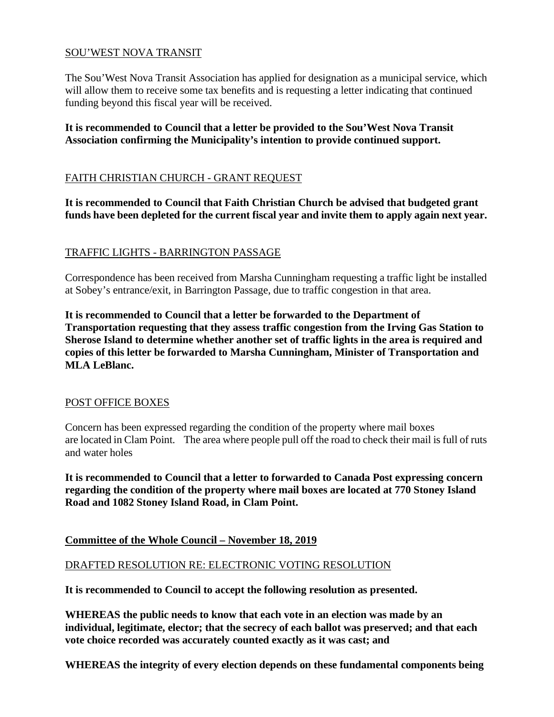## SOU'WEST NOVA TRANSIT

The Sou'West Nova Transit Association has applied for designation as a municipal service, which will allow them to receive some tax benefits and is requesting a letter indicating that continued funding beyond this fiscal year will be received.

**It is recommended to Council that a letter be provided to the Sou'West Nova Transit Association confirming the Municipality's intention to provide continued support.**

#### FAITH CHRISTIAN CHURCH - GRANT REQUEST

**It is recommended to Council that Faith Christian Church be advised that budgeted grant funds have been depleted for the current fiscal year and invite them to apply again next year.**

### TRAFFIC LIGHTS - BARRINGTON PASSAGE

Correspondence has been received from Marsha Cunningham requesting a traffic light be installed at Sobey's entrance/exit, in Barrington Passage, due to traffic congestion in that area.

**It is recommended to Council that a letter be forwarded to the Department of Transportation requesting that they assess traffic congestion from the Irving Gas Station to Sherose Island to determine whether another set of traffic lights in the area is required and copies of this letter be forwarded to Marsha Cunningham, Minister of Transportation and MLA LeBlanc.**

#### POST OFFICE BOXES

Concern has been expressed regarding the condition of the property where mail boxes are located in Clam Point. The area where people pull off the road to check their mail is full of ruts and water holes

**It is recommended to Council that a letter to forwarded to Canada Post expressing concern regarding the condition of the property where mail boxes are located at 770 Stoney Island Road and 1082 Stoney Island Road, in Clam Point.**

#### **Committee of the Whole Council – November 18, 2019**

#### DRAFTED RESOLUTION RE: ELECTRONIC VOTING RESOLUTION

**It is recommended to Council to accept the following resolution as presented.**

**WHEREAS the public needs to know that each vote in an election was made by an individual, legitimate, elector; that the secrecy of each ballot was preserved; and that each vote choice recorded was accurately counted exactly as it was cast; and**

**WHEREAS the integrity of every election depends on these fundamental components being**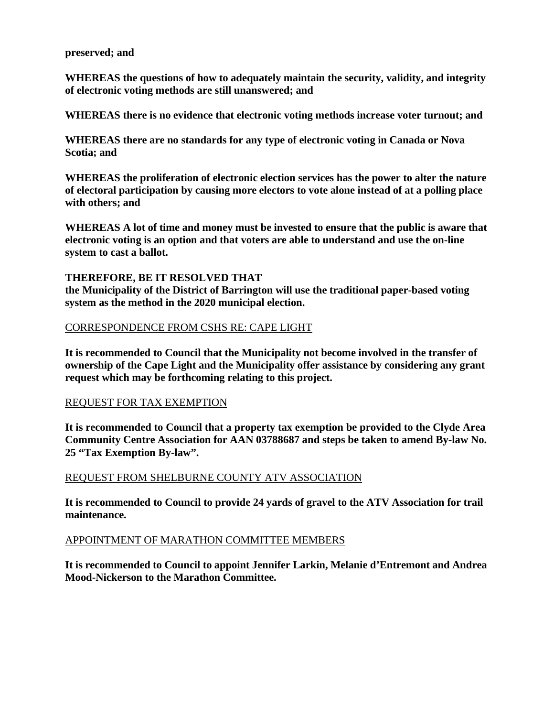#### **preserved; and**

**WHEREAS the questions of how to adequately maintain the security, validity, and integrity of electronic voting methods are still unanswered; and** 

**WHEREAS there is no evidence that electronic voting methods increase voter turnout; and** 

**WHEREAS there are no standards for any type of electronic voting in Canada or Nova Scotia; and**

**WHEREAS the proliferation of electronic election services has the power to alter the nature of electoral participation by causing more electors to vote alone instead of at a polling place with others; and** 

**WHEREAS A lot of time and money must be invested to ensure that the public is aware that electronic voting is an option and that voters are able to understand and use the on-line system to cast a ballot.**

#### **THEREFORE, BE IT RESOLVED THAT**

**the Municipality of the District of Barrington will use the traditional paper-based voting system as the method in the 2020 municipal election.**

#### CORRESPONDENCE FROM CSHS RE: CAPE LIGHT

**It is recommended to Council that the Municipality not become involved in the transfer of ownership of the Cape Light and the Municipality offer assistance by considering any grant request which may be forthcoming relating to this project.** 

#### REQUEST FOR TAX EXEMPTION

**It is recommended to Council that a property tax exemption be provided to the Clyde Area Community Centre Association for AAN 03788687 and steps be taken to amend By-law No. 25 "Tax Exemption By-law".**

#### REQUEST FROM SHELBURNE COUNTY ATV ASSOCIATION

**It is recommended to Council to provide 24 yards of gravel to the ATV Association for trail maintenance.**

#### APPOINTMENT OF MARATHON COMMITTEE MEMBERS

**It is recommended to Council to appoint Jennifer Larkin, Melanie d'Entremont and Andrea Mood-Nickerson to the Marathon Committee.**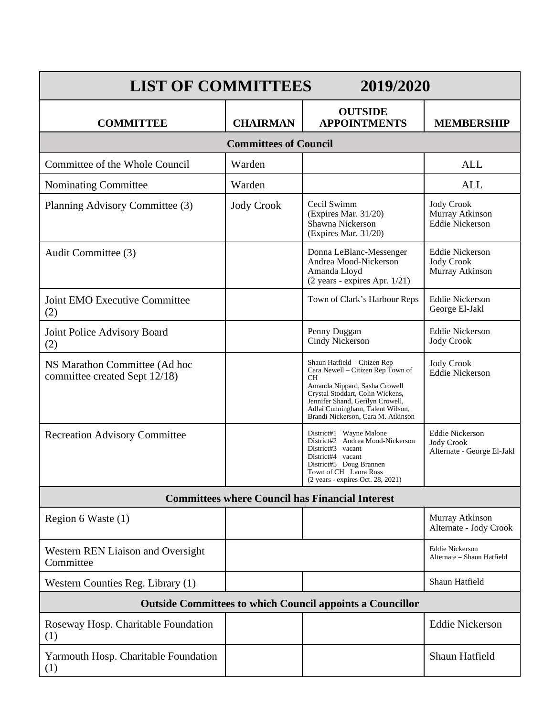| <b>LIST OF COMMITTEES</b><br>2019/2020                           |                   |                                                                                                                                                                                                                                                            |                                                                           |  |
|------------------------------------------------------------------|-------------------|------------------------------------------------------------------------------------------------------------------------------------------------------------------------------------------------------------------------------------------------------------|---------------------------------------------------------------------------|--|
| <b>COMMITTEE</b>                                                 | <b>CHAIRMAN</b>   | <b>OUTSIDE</b><br><b>APPOINTMENTS</b>                                                                                                                                                                                                                      | <b>MEMBERSHIP</b>                                                         |  |
| <b>Committees of Council</b>                                     |                   |                                                                                                                                                                                                                                                            |                                                                           |  |
| Committee of the Whole Council                                   | Warden            |                                                                                                                                                                                                                                                            | <b>ALL</b>                                                                |  |
| Nominating Committee                                             | Warden            |                                                                                                                                                                                                                                                            | <b>ALL</b>                                                                |  |
| Planning Advisory Committee (3)                                  | <b>Jody Crook</b> | Cecil Swimm<br>(Expires Mar. 31/20)<br>Shawna Nickerson<br>(Expires Mar. 31/20)                                                                                                                                                                            | <b>Jody Crook</b><br>Murray Atkinson<br><b>Eddie Nickerson</b>            |  |
| Audit Committee (3)                                              |                   | Donna LeBlanc-Messenger<br>Andrea Mood-Nickerson<br>Amanda Lloyd<br>(2 years - expires Apr. 1/21)                                                                                                                                                          | <b>Eddie Nickerson</b><br><b>Jody Crook</b><br>Murray Atkinson            |  |
| Joint EMO Executive Committee<br>(2)                             |                   | Town of Clark's Harbour Reps                                                                                                                                                                                                                               | <b>Eddie Nickerson</b><br>George El-Jakl                                  |  |
| Joint Police Advisory Board<br>(2)                               |                   | Penny Duggan<br>Cindy Nickerson                                                                                                                                                                                                                            | <b>Eddie Nickerson</b><br><b>Jody Crook</b>                               |  |
| NS Marathon Committee (Ad hoc<br>committee created Sept 12/18)   |                   | Shaun Hatfield - Citizen Rep<br>Cara Newell - Citizen Rep Town of<br>CН<br>Amanda Nippard, Sasha Crowell<br>Crystal Stoddart, Colin Wickens,<br>Jennifer Shand, Gerilyn Crowell,<br>Adlai Cunningham, Talent Wilson,<br>Brandi Nickerson, Cara M. Atkinson | <b>Jody Crook</b><br><b>Eddie Nickerson</b>                               |  |
| <b>Recreation Advisory Committee</b>                             |                   | District#1 Wayne Malone<br>District#2 Andrea Mood-Nickerson<br>District#3 vacant<br>District#4 vacant<br>District#5 Doug Brannen<br>Town of CH Laura Ross<br>(2 years - expires Oct. 28, 2021)                                                             | <b>Eddie Nickerson</b><br><b>Jody Crook</b><br>Alternate - George El-Jakl |  |
| <b>Committees where Council has Financial Interest</b>           |                   |                                                                                                                                                                                                                                                            |                                                                           |  |
| Region 6 Waste (1)                                               |                   |                                                                                                                                                                                                                                                            | Murray Atkinson<br>Alternate - Jody Crook                                 |  |
| Western REN Liaison and Oversight<br>Committee                   |                   |                                                                                                                                                                                                                                                            | <b>Eddie Nickerson</b><br>Alternate - Shaun Hatfield                      |  |
| Western Counties Reg. Library (1)                                |                   |                                                                                                                                                                                                                                                            | Shaun Hatfield                                                            |  |
| <b>Outside Committees to which Council appoints a Councillor</b> |                   |                                                                                                                                                                                                                                                            |                                                                           |  |
| Roseway Hosp. Charitable Foundation<br>(1)                       |                   |                                                                                                                                                                                                                                                            | <b>Eddie Nickerson</b>                                                    |  |
| Yarmouth Hosp. Charitable Foundation<br>(1)                      |                   |                                                                                                                                                                                                                                                            | Shaun Hatfield                                                            |  |